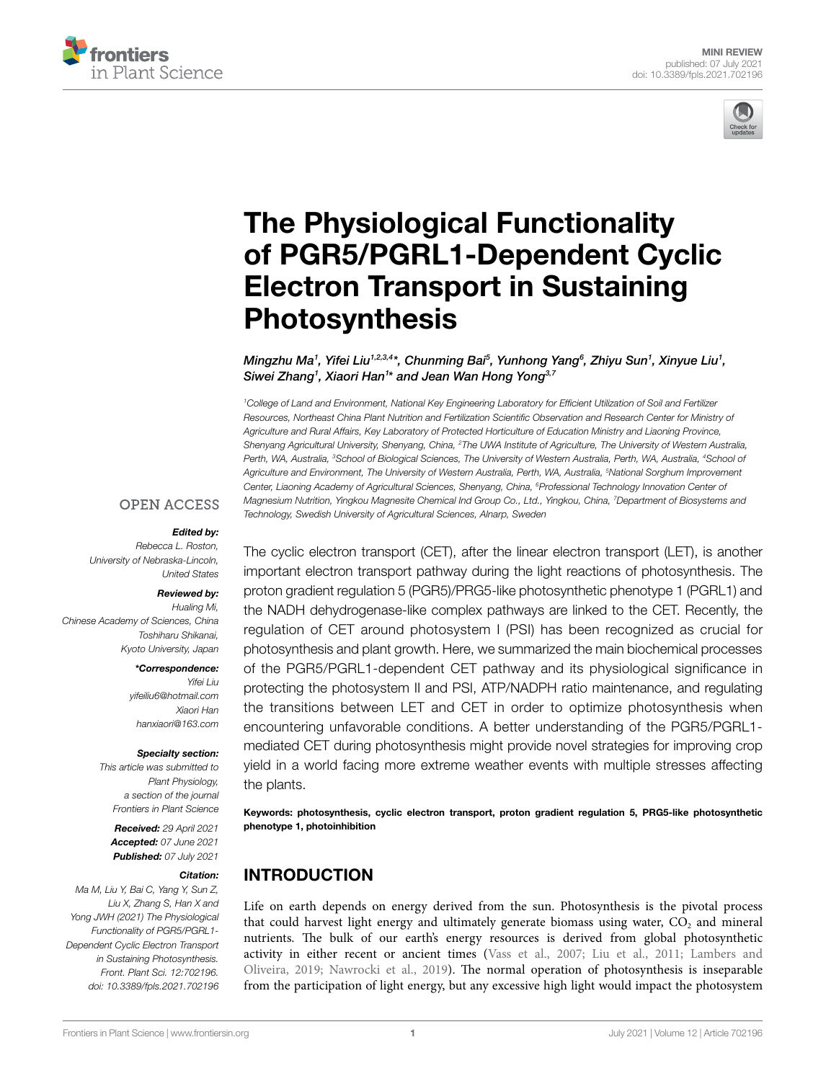



# [The Physiological Functionality](https://www.frontiersin.org/articles/10.3389/fpls.2021.702196/full)  [of PGR5/PGRL1-Dependent Cyclic](https://www.frontiersin.org/articles/10.3389/fpls.2021.702196/full)  [Electron Transport in Sustaining](https://www.frontiersin.org/articles/10.3389/fpls.2021.702196/full)  [Photosynthesis](https://www.frontiersin.org/articles/10.3389/fpls.2021.702196/full)

*Mingzhu Ma1 , Yifei Liu1,2,3,4 \*, Chunming Bai5 , Yunhong Yang6 , Zhiyu Sun1 , Xinyue Liu1 , Siwei Zhang1 , Xiaori Han1 \* and Jean Wan Hong Yong3,7*

*1 College of Land and Environment, National Key Engineering Laboratory for Efficient Utilization of Soil and Fertilizer Resources, Northeast China Plant Nutrition and Fertilization Scientific Observation and Research Center for Ministry of Agriculture and Rural Affairs, Key Laboratory of Protected Horticulture of Education Ministry and Liaoning Province,*  Shenyang Agricultural University, Shenyang, China, <sup>2</sup>The UWA Institute of Agriculture, The University of Western Australia, *Perth, WA, Australia, 3 School of Biological Sciences, The University of Western Australia, Perth, WA, Australia, 4 School of Agriculture and Environment, The University of Western Australia, Perth, WA, Australia, 5 National Sorghum Improvement Center, Liaoning Academy of Agricultural Sciences, Shenyang, China, 6 Professional Technology Innovation Center of Magnesium Nutrition, Yingkou Magnesite Chemical Ind Group Co., Ltd., Yingkou, China, 7 Department of Biosystems and Technology, Swedish University of Agricultural Sciences, Alnarp, Sweden*

#### **OPEN ACCESS**

#### *Edited by:*

*Rebecca L. Roston, University of Nebraska-Lincoln, United States*

#### *Reviewed by:*

*Hualing Mi, Chinese Academy of Sciences, China Toshiharu Shikanai, Kyoto University, Japan*

#### *\*Correspondence:*

*Yifei Liu [yifeiliu6@hotmail.com](mailto:yifeiliu6@hotmail.com) Xiaori Han [hanxiaori@163.com](mailto:hanxiaori@163.com)*

#### *Specialty section:*

*This article was submitted to Plant Physiology, a section of the journal Frontiers in Plant Science*

*Received: 29 April 2021 Accepted: 07 June 2021 Published: 07 July 2021*

#### *Citation:*

*Ma M, Liu Y, Bai C, Yang Y, Sun Z, Liu X, Zhang S, Han X and Yong JWH (2021) The Physiological Functionality of PGR5/PGRL1- Dependent Cyclic Electron Transport in Sustaining Photosynthesis. Front. Plant Sci. 12:702196. [doi: 10.3389/fpls.2021.702196](https://doi.org/10.3389/fpls.2021.702196)* The cyclic electron transport (CET), after the linear electron transport (LET), is another important electron transport pathway during the light reactions of photosynthesis. The proton gradient regulation 5 (PGR5)/PRG5-like photosynthetic phenotype 1 (PGRL1) and the NADH dehydrogenase-like complex pathways are linked to the CET. Recently, the regulation of CET around photosystem I (PSI) has been recognized as crucial for photosynthesis and plant growth. Here, we summarized the main biochemical processes of the PGR5/PGRL1-dependent CET pathway and its physiological significance in protecting the photosystem II and PSI, ATP/NADPH ratio maintenance, and regulating the transitions between LET and CET in order to optimize photosynthesis when encountering unfavorable conditions. A better understanding of the PGR5/PGRL1 mediated CET during photosynthesis might provide novel strategies for improving crop yield in a world facing more extreme weather events with multiple stresses affecting the plants.

Keywords: photosynthesis, cyclic electron transport, proton gradient regulation 5, PRG5-like photosynthetic phenotype 1, photoinhibition

# INTRODUCTION

Life on earth depends on energy derived from the sun. Photosynthesis is the pivotal process that could harvest light energy and ultimately generate biomass using water,  $CO<sub>2</sub>$  and mineral nutrients. The bulk of our earth's energy resources is derived from global photosynthetic activity in either recent or ancient times ([Vass et al., 2007;](#page-7-0) [Liu et al., 2011;](#page-6-0) [Lambers and](#page-6-1)  [Oliveira, 2019;](#page-6-1) [Nawrocki et al., 2019\)](#page-7-1). The normal operation of photosynthesis is inseparable from the participation of light energy, but any excessive high light would impact the photosystem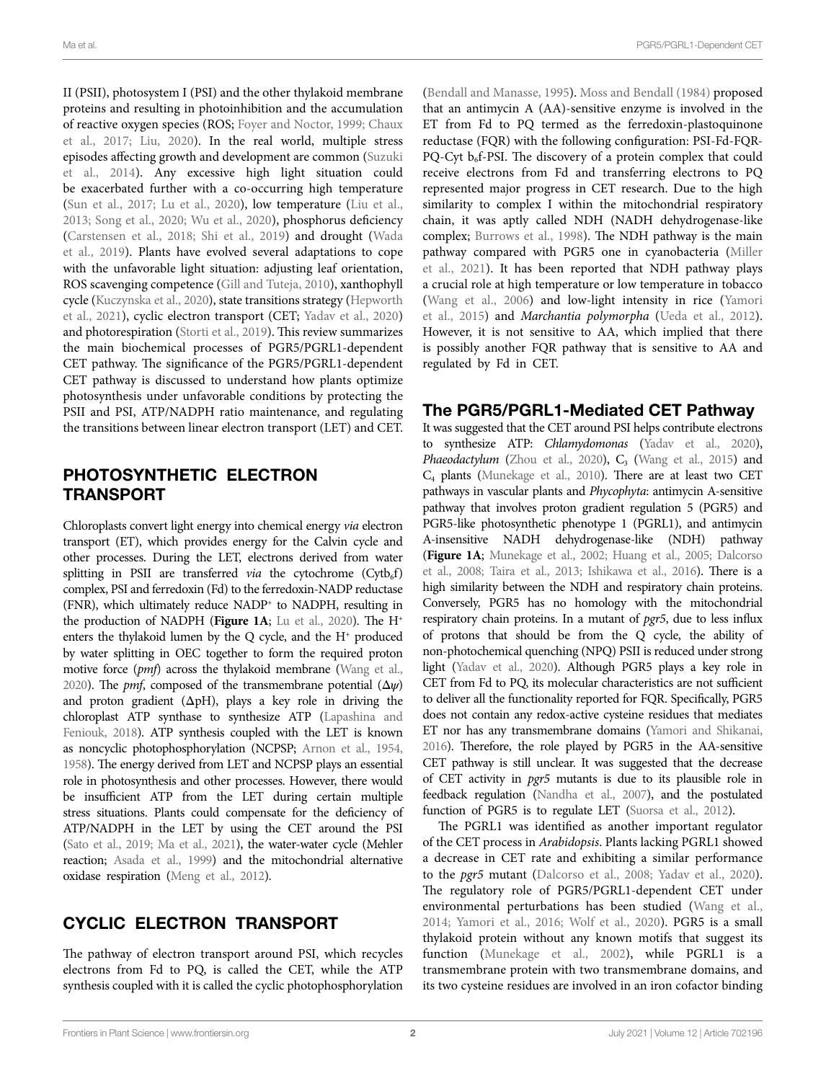II (PSII), photosystem I (PSI) and the other thylakoid membrane proteins and resulting in photoinhibition and the accumulation of reactive oxygen species (ROS; [Foyer and Noctor, 1999](#page-5-0); [Chaux](#page-5-1)  [et al., 2017;](#page-5-1) [Liu, 2020\)](#page-6-2). In the real world, multiple stress episodes affecting growth and development are common ([Suzuki](#page-7-2)  [et al., 2014\)](#page-7-2). Any excessive high light situation could be exacerbated further with a co-occurring high temperature (Sun et al., 2017; Lu et al., 2020), low temperature (Liu et al., [2013;](#page-6-4) [Song et al., 2020](#page-7-4); [Wu et al., 2020\)](#page-8-0), phosphorus deficiency ([Carstensen et al., 2018](#page-5-2); [Shi et al., 2019](#page-7-5)) and drought ([Wada](#page-7-6)  [et al., 2019\)](#page-7-6). Plants have evolved several adaptations to cope with the unfavorable light situation: adjusting leaf orientation, ROS scavenging competence [\(Gill and Tuteja, 2010\)](#page-6-5), xanthophyll cycle [\(Kuczynska et al., 2020](#page-6-6)), state transitions strategy [\(Hepworth](#page-6-7)  [et al., 2021\)](#page-6-7), cyclic electron transport (CET; [Yadav et al., 2020](#page-8-1)) and photorespiration ([Storti et al., 2019\)](#page-7-7). This review summarizes the main biochemical processes of PGR5/PGRL1-dependent CET pathway. The significance of the PGR5/PGRL1-dependent CET pathway is discussed to understand how plants optimize photosynthesis under unfavorable conditions by protecting the PSII and PSI, ATP/NADPH ratio maintenance, and regulating the transitions between linear electron transport (LET) and CET.

# PHOTOSYNTHETIC ELECTRON TRANSPORT

Chloroplasts convert light energy into chemical energy *via* electron transport (ET), which provides energy for the Calvin cycle and other processes. During the LET, electrons derived from water splitting in PSII are transferred *via* the cytochrome (Cytb<sub>6</sub>f) complex, PSI and ferredoxin (Fd) to the ferredoxin-NADP reductase (FNR), which ultimately reduce NADP+ to NADPH, resulting in the production of NADPH (Figure 1A; Lu et al., 2020). The H<sup>+</sup> enters the thylakoid lumen by the  $Q$  cycle, and the  $H^+$  produced by water splitting in OEC together to form the required proton motive force (*pmf*) across the thylakoid membrane [\(Wang et al.,](#page-8-2)  [2020\)](#page-8-2). The *pmf*, composed of the transmembrane potential (Δ*ψ*) and proton gradient (ΔpH), plays a key role in driving the chloroplast ATP synthase to synthesize ATP ([Lapashina and](#page-6-8)  [Feniouk, 2018\)](#page-6-8). ATP synthesis coupled with the LET is known as noncyclic photophosphorylation (NCPSP; [Arnon et al., 1954](#page-5-3), [1958\)](#page-5-4). The energy derived from LET and NCPSP plays an essential role in photosynthesis and other processes. However, there would be insufficient ATP from the LET during certain multiple stress situations. Plants could compensate for the deficiency of ATP/NADPH in the LET by using the CET around the PSI (Sato et al., 2019; Ma et al., 2021), the water-water cycle (Mehler reaction; [Asada et al., 1999\)](#page-5-5) and the mitochondrial alternative oxidase respiration [\(Meng et al., 2012\)](#page-6-10).

# CYCLIC ELECTRON TRANSPORT

The pathway of electron transport around PSI, which recycles electrons from Fd to PQ, is called the CET, while the ATP synthesis coupled with it is called the cyclic photophosphorylation [\(Bendall and Manasse, 1995\)](#page-5-6). [Moss and Bendall \(1984\)](#page-6-11) proposed that an antimycin A (AA)-sensitive enzyme is involved in the ET from Fd to PQ termed as the ferredoxin-plastoquinone reductase (FQR) with the following configuration: PSI-Fd-FQR-PQ-Cyt  $b_6$ f-PSI. The discovery of a protein complex that could receive electrons from Fd and transferring electrons to PQ represented major progress in CET research. Due to the high similarity to complex I within the mitochondrial respiratory chain, it was aptly called NDH (NADH dehydrogenase-like complex; Burrows et al., 1998). The NDH pathway is the main pathway compared with PGR5 one in cyanobacteria ([Miller](#page-6-12)  [et al., 2021](#page-6-12)). It has been reported that NDH pathway plays a crucial role at high temperature or low temperature in tobacco [\(Wang et al., 2006\)](#page-7-9) and low-light intensity in rice [\(Yamori](#page-8-3)  [et al., 2015](#page-8-3)) and *Marchantia polymorpha* ([Ueda et al., 2012](#page-7-10)). However, it is not sensitive to AA, which implied that there is possibly another FQR pathway that is sensitive to AA and regulated by Fd in CET.

#### The PGR5/PGRL1-Mediated CET Pathway

It was suggested that the CET around PSI helps contribute electrons to synthesize ATP: *Chlamydomonas* [\(Yadav et al., 2020\)](#page-8-1), **Phaeodactylum** (Zhou et al., 2020),  $C_3$  (Wang et al., 2015) and C4 plants [\(Munekage et al., 2010\)](#page-6-13). There are at least two CET pathways in vascular plants and *Phycophyta*: antimycin A-sensitive pathway that involves proton gradient regulation 5 (PGR5) and PGR5-like photosynthetic phenotype 1 (PGRL1), and antimycin A-insensitive NADH dehydrogenase-like (NDH) pathway (**[Figure 1A](#page-2-0)**; [Munekage et al., 2002;](#page-7-12) [Huang et al., 2005](#page-6-14); [Dalcorso](#page-5-8)  [et al., 2008;](#page-5-8) [Taira et al., 2013;](#page-7-13) [Ishikawa et al., 2016](#page-6-15)). There is a high similarity between the NDH and respiratory chain proteins. Conversely, PGR5 has no homology with the mitochondrial respiratory chain proteins. In a mutant of *pgr5*, due to less influx of protons that should be from the Q cycle, the ability of non-photochemical quenching (NPQ) PSII is reduced under strong light [\(Yadav et al., 2020\)](#page-8-1). Although PGR5 plays a key role in CET from Fd to PQ, its molecular characteristics are not sufficient to deliver all the functionality reported for FQR. Specifically, PGR5 does not contain any redox-active cysteine residues that mediates ET nor has any transmembrane domains ([Yamori and Shikanai,](#page-8-5)  [2016](#page-8-5)). Therefore, the role played by PGR5 in the AA-sensitive CET pathway is still unclear. It was suggested that the decrease of CET activity in *pgr5* mutants is due to its plausible role in feedback regulation [\(Nandha et al., 2007](#page-7-14)), and the postulated function of PGR5 is to regulate LET (Suorsa et al., 2012).

The PGRL1 was identified as another important regulator of the CET process in *Arabidopsis*. Plants lacking PGRL1 showed a decrease in CET rate and exhibiting a similar performance to the *pgr5* mutant ([Dalcorso et al., 2008;](#page-5-8) [Yadav et al., 2020](#page-8-1)). The regulatory role of PGR5/PGRL1-dependent CET under environmental perturbations has been studied ([Wang et al.,](#page-7-16)  [2014;](#page-7-16) [Yamori et al., 2016](#page-8-6); [Wolf et al., 2020](#page-8-7)). PGR5 is a small thylakoid protein without any known motifs that suggest its function [\(Munekage et al., 2002](#page-7-12)), while PGRL1 is a transmembrane protein with two transmembrane domains, and its two cysteine residues are involved in an iron cofactor binding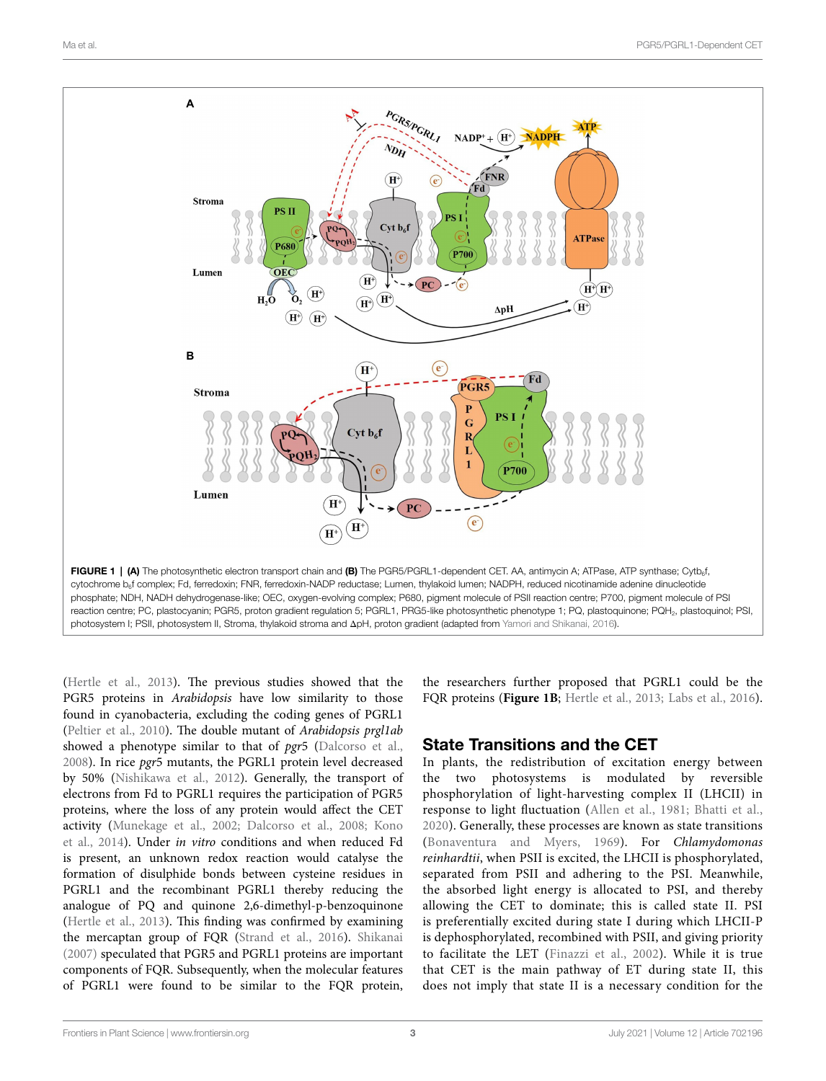<span id="page-2-0"></span>

([Hertle et al., 2013\)](#page-6-16). The previous studies showed that the PGR5 proteins in *Arabidopsis* have low similarity to those found in cyanobacteria, excluding the coding genes of PGRL1 ([Peltier et al., 2010\)](#page-7-17). The double mutant of *Arabidopsis prgl1ab* showed a phenotype similar to that of *pgr*5 ([Dalcorso et al.,](#page-5-8)  [2008\)](#page-5-8). In rice *pgr*5 mutants, the PGRL1 protein level decreased by 50% [\(Nishikawa et al., 2012](#page-7-18)). Generally, the transport of electrons from Fd to PGRL1 requires the participation of PGR5 proteins, where the loss of any protein would affect the CET activity [\(Munekage et al., 2002](#page-7-12); [Dalcorso et al., 2008;](#page-5-8) [Kono](#page-6-17)  [et al., 2014](#page-6-17)). Under *in vitro* conditions and when reduced Fd is present, an unknown redox reaction would catalyse the formation of disulphide bonds between cysteine residues in PGRL1 and the recombinant PGRL1 thereby reducing the analogue of PQ and quinone 2,6-dimethyl-p-benzoquinone ([Hertle et al., 2013\)](#page-6-16). This finding was confirmed by examining the mercaptan group of FQR [\(Strand et al., 2016\)](#page-7-19). [Shikanai](#page-7-20)  [\(2007\)](#page-7-20) speculated that PGR5 and PGRL1 proteins are important components of FQR. Subsequently, when the molecular features of PGRL1 were found to be similar to the FQR protein,

the researchers further proposed that PGRL1 could be the FQR proteins (**[Figure 1B](#page-2-0)**; [Hertle et al., 2013](#page-6-16); [Labs et al., 2016](#page-6-18)).

#### State Transitions and the CET

In plants, the redistribution of excitation energy between the two photosystems is modulated by reversible phosphorylation of light-harvesting complex II (LHCII) in response to light fluctuation [\(Allen et al., 1981;](#page-5-9) [Bhatti et al.,](#page-5-10)  [2020](#page-5-10)). Generally, these processes are known as state transitions [\(Bonaventura and Myers, 1969\)](#page-5-11). For *Chlamydomonas reinhardtii*, when PSII is excited, the LHCII is phosphorylated, separated from PSII and adhering to the PSI. Meanwhile, the absorbed light energy is allocated to PSI, and thereby allowing the CET to dominate; this is called state II. PSI is preferentially excited during state I during which LHCII-P is dephosphorylated, recombined with PSII, and giving priority to facilitate the LET [\(Finazzi et al., 2002](#page-5-12)). While it is true that CET is the main pathway of ET during state II, this does not imply that state II is a necessary condition for the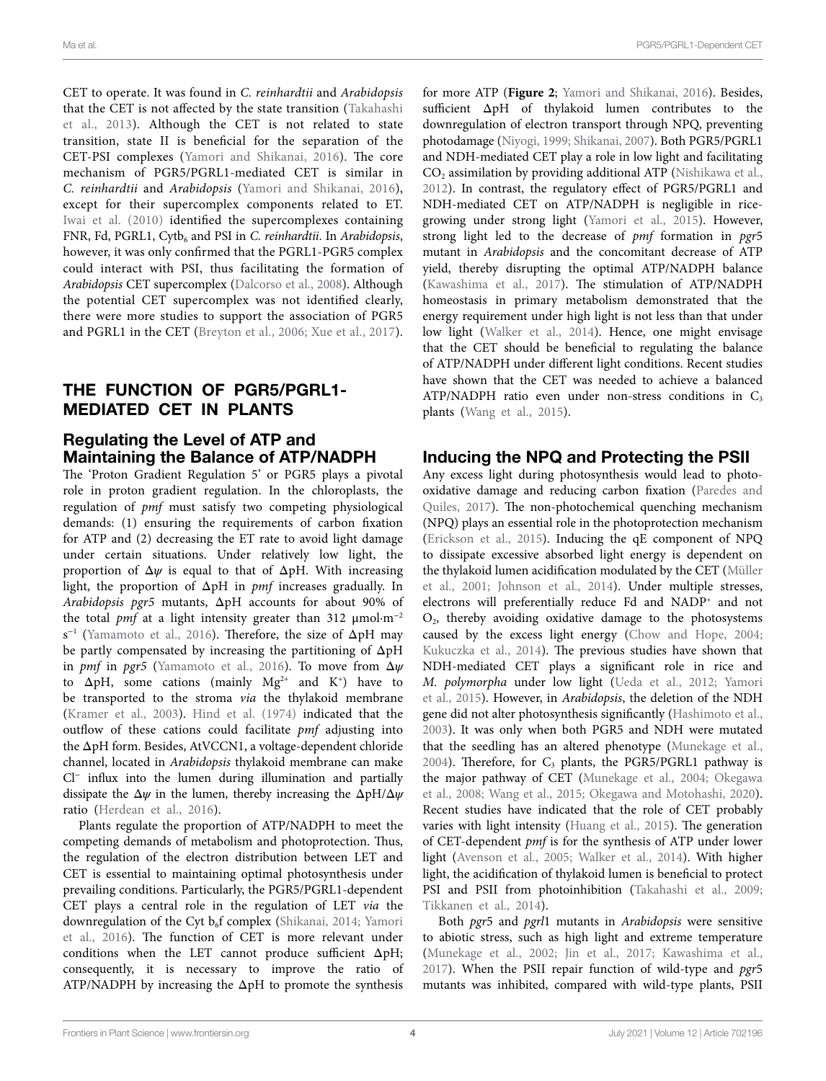CET to operate. It was found in *C. reinhardtii* and *Arabidopsis* that the CET is not affected by the state transition ([Takahashi](#page-7-21)  [et al., 2013](#page-7-21)). Although the CET is not related to state transition, state II is beneficial for the separation of the CET-PSI complexes ([Yamori and Shikanai, 2016\)](#page-8-5). The core mechanism of PGR5/PGRL1-mediated CET is similar in *C. reinhardtii* and *Arabidopsis* ([Yamori and Shikanai, 2016\)](#page-8-5), except for their supercomplex components related to ET. [Iwai et al. \(2010\)](#page-6-19) identified the supercomplexes containing FNR, Fd, PGRL1, Cytb<sub>6</sub> and PSI in *C. reinhardtii*. In *Arabidopsis*, however, it was only confirmed that the PGRL1-PGR5 complex could interact with PSI, thus facilitating the formation of *Arabidopsis* CET supercomplex [\(Dalcorso et al., 2008\)](#page-5-8). Although the potential CET supercomplex was not identified clearly, there were more studies to support the association of PGR5 and PGRL1 in the CET [\(Breyton et al., 2006;](#page-5-13) [Xue et al., 2017\)](#page-8-8).

## THE FUNCTION OF PGR5/PGRL1- MEDIATED CET IN PLANTS

## Regulating the Level of ATP and Maintaining the Balance of ATP/NADPH

The 'Proton Gradient Regulation 5' or PGR5 plays a pivotal role in proton gradient regulation. In the chloroplasts, the regulation of *pmf* must satisfy two competing physiological demands: (1) ensuring the requirements of carbon fixation for ATP and (2) decreasing the ET rate to avoid light damage under certain situations. Under relatively low light, the proportion of Δ*ψ* is equal to that of ΔpH. With increasing light, the proportion of ΔpH in *pmf* increases gradually. In *Arabidopsis pgr5* mutants, ΔpH accounts for about 90% of the total *pmf* at a light intensity greater than 312  $\mu$ mol·m<sup>-2</sup> s<sup>−</sup><sup>1</sup> ([Yamamoto et al., 2016\)](#page-8-9). Therefore, the size of ΔpH may be partly compensated by increasing the partitioning of ΔpH in *pmf* in *pgr5* ([Yamamoto et al., 2016\)](#page-8-9). To move from Δ*ψ* to  $\Delta pH$ , some cations (mainly  $Mg^{2+}$  and K<sup>+</sup>) have to be transported to the stroma *via* the thylakoid membrane ([Kramer et al., 2003\)](#page-6-20). [Hind et al. \(1974\)](#page-6-21) indicated that the outflow of these cations could facilitate *pmf* adjusting into the ΔpH form. Besides, AtVCCN1, a voltage-dependent chloride channel, located in *Arabidopsis* thylakoid membrane can make Cl<sup>−</sup> influx into the lumen during illumination and partially dissipate the Δ*ψ* in the lumen, thereby increasing the ΔpH/Δ*ψ* ratio [\(Herdean et al., 2016\)](#page-6-22).

Plants regulate the proportion of ATP/NADPH to meet the competing demands of metabolism and photoprotection. Thus, the regulation of the electron distribution between LET and CET is essential to maintaining optimal photosynthesis under prevailing conditions. Particularly, the PGR5/PGRL1-dependent CET plays a central role in the regulation of LET *via* the downregulation of the Cyt  $b_6f$  complex ([Shikanai, 2014;](#page-7-22) Yamori [et al., 2016\)](#page-8-6). The function of CET is more relevant under conditions when the LET cannot produce sufficient ΔpH; consequently, it is necessary to improve the ratio of ATP/NADPH by increasing the ΔpH to promote the synthesis

for more ATP (**[Figure 2](#page-4-0)**; [Yamori and Shikanai, 2016\)](#page-8-5). Besides, sufficient ΔpH of thylakoid lumen contributes to the downregulation of electron transport through NPQ, preventing photodamage ([Niyogi, 1999](#page-7-23); [Shikanai, 2007\)](#page-7-20). Both PGR5/PGRL1 and NDH-mediated CET play a role in low light and facilitating  $CO<sub>2</sub>$  assimilation by providing additional ATP (Nishikawa et al., [2012\)](#page-7-18). In contrast, the regulatory effect of PGR5/PGRL1 and NDH-mediated CET on ATP/NADPH is negligible in ricegrowing under strong light [\(Yamori et al., 2015\)](#page-8-3). However, strong light led to the decrease of *pmf* formation in *pgr*5 mutant in *Arabidopsis* and the concomitant decrease of ATP yield, thereby disrupting the optimal ATP/NADPH balance [\(Kawashima et al., 2017](#page-6-23)). The stimulation of ATP/NADPH homeostasis in primary metabolism demonstrated that the energy requirement under high light is not less than that under low light (Walker et al., 2014). Hence, one might envisage that the CET should be beneficial to regulating the balance of ATP/NADPH under different light conditions. Recent studies have shown that the CET was needed to achieve a balanced ATP/NADPH ratio even under non-stress conditions in  $C_3$ plants (Wang et al., 2015).

## Inducing the NPQ and Protecting the PSII

Any excess light during photosynthesis would lead to photooxidative damage and reducing carbon fixation ([Paredes and](#page-7-25)  [Quiles, 2017](#page-7-25)). The non-photochemical quenching mechanism (NPQ) plays an essential role in the photoprotection mechanism [\(Erickson et al., 2015](#page-5-14)). Inducing the qE component of NPQ to dissipate excessive absorbed light energy is dependent on the thylakoid lumen acidification modulated by the CET [\(Müller](#page-6-24)  [et al., 2001](#page-6-24); [Johnson et al., 2014](#page-6-25)). Under multiple stresses, electrons will preferentially reduce Fd and NADP<sup>+</sup> and not  $O<sub>2</sub>$ , thereby avoiding oxidative damage to the photosystems caused by the excess light energy ([Chow and Hope, 2004;](#page-5-15) [Kukuczka et al., 2014](#page-6-26)). The previous studies have shown that NDH-mediated CET plays a significant role in rice and *M. polymorpha* under low light [\(Ueda et al., 2012;](#page-7-10) [Yamori](#page-8-3)  [et al., 2015\)](#page-8-3). However, in *Arabidopsis*, the deletion of the NDH gene did not alter photosynthesis significantly ([Hashimoto et al.,](#page-6-27)  [2003\)](#page-6-27). It was only when both PGR5 and NDH were mutated that the seedling has an altered phenotype [\(Munekage et al.,](#page-6-28)  [2004\)](#page-6-28). Therefore, for  $C_3$  plants, the PGR5/PGRL1 pathway is the major pathway of CET [\(Munekage et al., 2004;](#page-6-28) [Okegawa](#page-7-26)  [et al., 2008](#page-7-26); [Wang et al., 2015;](#page-7-11) [Okegawa and Motohashi, 2020](#page-7-27)). Recent studies have indicated that the role of CET probably varies with light intensity ([Huang et al., 2015\)](#page-6-29). The generation of CET-dependent *pmf* is for the synthesis of ATP under lower light [\(Avenson et al., 2005;](#page-5-16) [Walker et al., 2014](#page-7-24)). With higher light, the acidification of thylakoid lumen is beneficial to protect PSI and PSII from photoinhibition [\(Takahashi et al., 2009;](#page-7-28) [Tikkanen et al., 2014](#page-7-29)).

Both *pgr*5 and *pgrl*1 mutants in *Arabidopsis* were sensitive to abiotic stress, such as high light and extreme temperature [\(Munekage et al., 2002;](#page-7-12) [Jin et al., 2017;](#page-6-30) [Kawashima et al.,](#page-6-23)  [2017\)](#page-6-23). When the PSII repair function of wild-type and *pgr*5 mutants was inhibited, compared with wild-type plants, PSII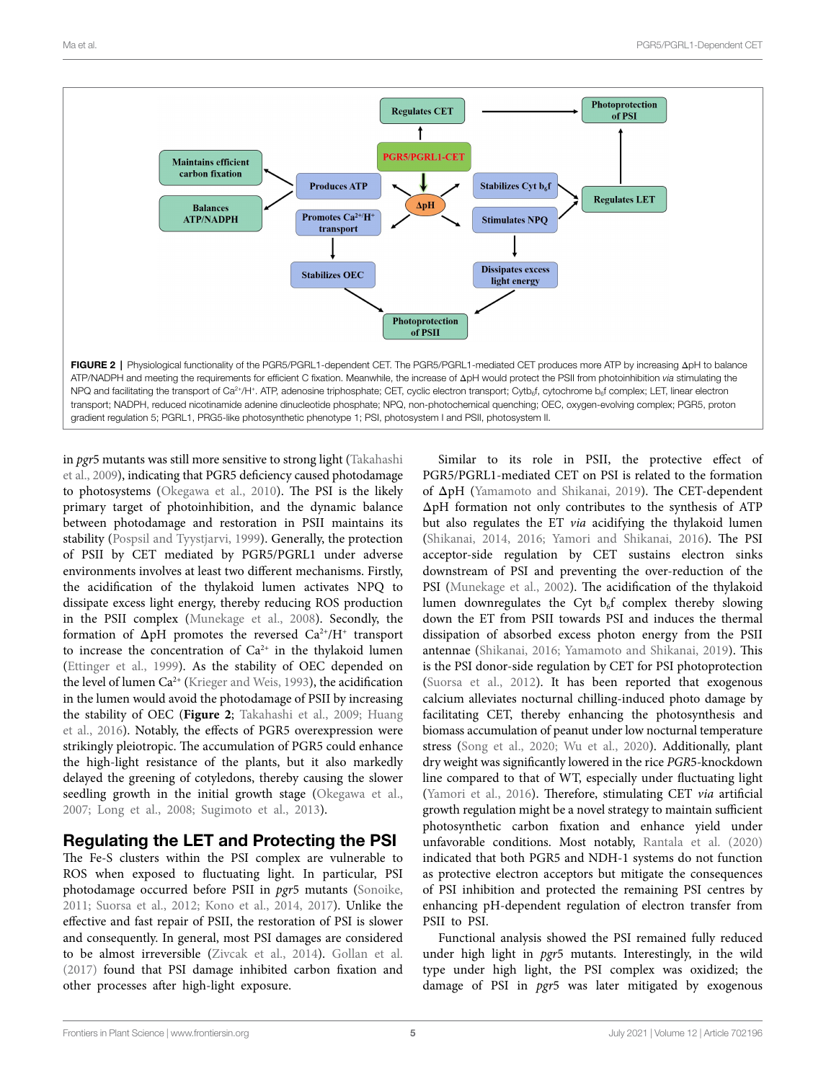<span id="page-4-0"></span>

gradient regulation 5; PGRL1, PRG5-like photosynthetic phenotype 1; PSI, photosystem I and PSII, photosystem II.

in *pgr*5 mutants was still more sensitive to strong light [\(Takahashi](#page-7-28)  [et al., 2009\)](#page-7-28), indicating that PGR5 deficiency caused photodamage to photosystems [\(Okegawa et al., 2010](#page-7-30)). The PSI is the likely primary target of photoinhibition, and the dynamic balance between photodamage and restoration in PSII maintains its stability [\(Pospsil and Tyystjarvi, 1999\)](#page-7-31). Generally, the protection of PSII by CET mediated by PGR5/PGRL1 under adverse environments involves at least two different mechanisms. Firstly, the acidification of the thylakoid lumen activates NPQ to dissipate excess light energy, thereby reducing ROS production in the PSII complex ([Munekage et al., 2008](#page-6-31)). Secondly, the formation of  $\Delta$ pH promotes the reversed  $Ca^{2+}/H^+$  transport to increase the concentration of  $Ca^{2+}$  in the thylakoid lumen ([Ettinger et al., 1999\)](#page-5-17). As the stability of OEC depended on the level of lumen  $Ca^{2+}$  ([Krieger and Weis, 1993\)](#page-6-32), the acidification in the lumen would avoid the photodamage of PSII by increasing the stability of OEC (**[Figure 2](#page-4-0)**; [Takahashi et al., 2009;](#page-7-28) [Huang](#page-6-33)  [et al., 2016](#page-6-33)). Notably, the effects of PGR5 overexpression were strikingly pleiotropic. The accumulation of PGR5 could enhance the high-light resistance of the plants, but it also markedly delayed the greening of cotyledons, thereby causing the slower seedling growth in the initial growth stage (Okegawa et al., [2007;](#page-7-32) [Long et al., 2008;](#page-6-34) [Sugimoto et al., 2013\)](#page-7-33).

### Regulating the LET and Protecting the PSI

The Fe-S clusters within the PSI complex are vulnerable to ROS when exposed to fluctuating light. In particular, PSI photodamage occurred before PSII in *pgr*5 mutants ([Sonoike,](#page-7-34)  [2011;](#page-7-34) [Suorsa et al., 2012](#page-7-15); [Kono et al., 2014](#page-6-17), [2017](#page-6-35)). Unlike the effective and fast repair of PSII, the restoration of PSI is slower and consequently. In general, most PSI damages are considered to be almost irreversible ([Zivcak et al., 2014](#page-8-10)). [Gollan et al.](#page-6-36)  [\(2017\)](#page-6-36) found that PSI damage inhibited carbon fixation and other processes after high-light exposure.

Similar to its role in PSII, the protective effect of PGR5/PGRL1-mediated CET on PSI is related to the formation of ΔpH [\(Yamamoto and Shikanai, 2019](#page-8-11)). The CET-dependent ΔpH formation not only contributes to the synthesis of ATP but also regulates the ET *via* acidifying the thylakoid lumen [\(Shikanai, 2014,](#page-7-22) [2016](#page-7-35); [Yamori and Shikanai, 2016\)](#page-8-5). The PSI acceptor-side regulation by CET sustains electron sinks downstream of PSI and preventing the over-reduction of the PSI [\(Munekage et al., 2002\)](#page-7-12). The acidification of the thylakoid lumen downregulates the Cyt  $b_{\delta}f$  complex thereby slowing down the ET from PSII towards PSI and induces the thermal dissipation of absorbed excess photon energy from the PSII antennae ([Shikanai, 2016;](#page-7-35) [Yamamoto and Shikanai, 2019](#page-8-11)). This is the PSI donor-side regulation by CET for PSI photoprotection [\(Suorsa et al., 2012](#page-7-15)). It has been reported that exogenous calcium alleviates nocturnal chilling-induced photo damage by facilitating CET, thereby enhancing the photosynthesis and biomass accumulation of peanut under low nocturnal temperature stress (Song et al., 2020; Wu et al., 2020). Additionally, plant dry weight was significantly lowered in the rice *PGR*5-knockdown line compared to that of WT, especially under fluctuating light [\(Yamori et al., 2016](#page-8-6)). Therefore, stimulating CET *via* artificial growth regulation might be a novel strategy to maintain sufficient photosynthetic carbon fixation and enhance yield under unfavorable conditions. Most notably, [Rantala et al. \(2020\)](#page-7-36) indicated that both PGR5 and NDH-1 systems do not function as protective electron acceptors but mitigate the consequences of PSI inhibition and protected the remaining PSI centres by enhancing pH-dependent regulation of electron transfer from PSII to PSI.

Functional analysis showed the PSI remained fully reduced under high light in *pgr*5 mutants. Interestingly, in the wild type under high light, the PSI complex was oxidized; the damage of PSI in *pgr*5 was later mitigated by exogenous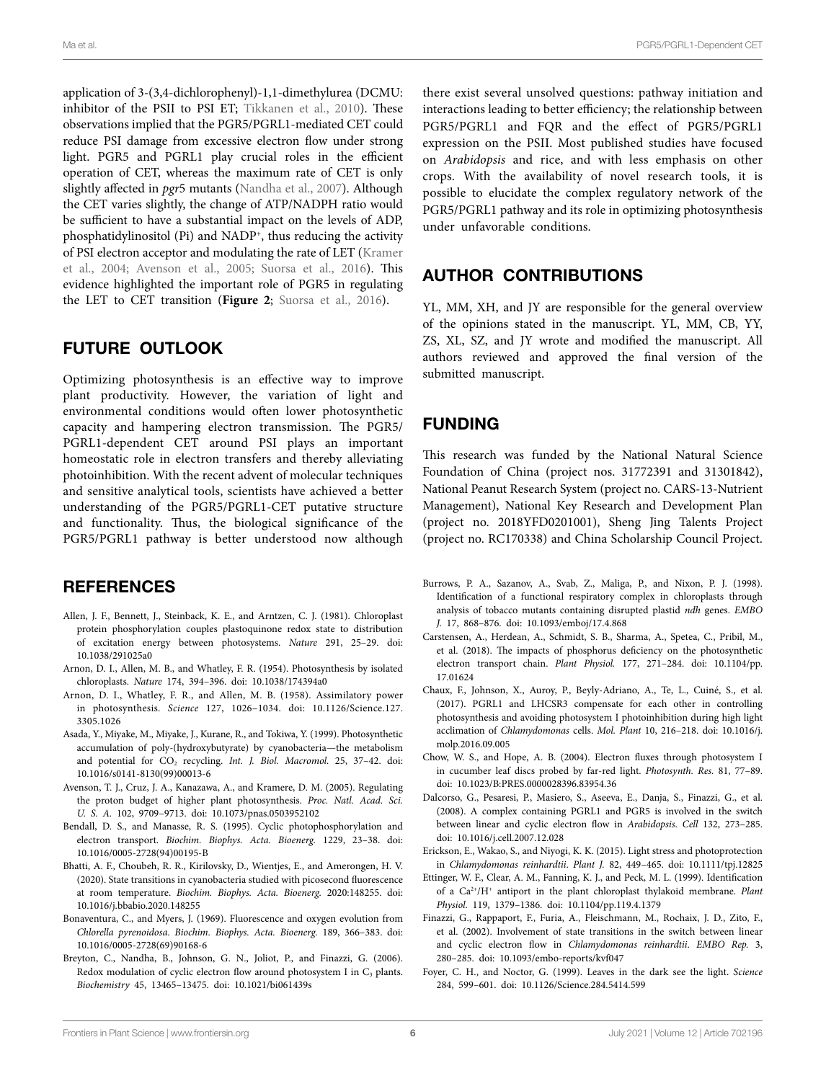Ma et al. PGR5/PGRL1-Dependent CET

application of 3-(3,4-dichlorophenyl)-1,1-dimethylurea (DCMU: inhibitor of the PSII to PSI ET; [Tikkanen et al., 2010](#page-7-37)). These observations implied that the PGR5/PGRL1-mediated CET could reduce PSI damage from excessive electron flow under strong light. PGR5 and PGRL1 play crucial roles in the efficient operation of CET, whereas the maximum rate of CET is only slightly affected in *pgr*5 mutants ([Nandha et al., 2007\)](#page-7-14). Although the CET varies slightly, the change of ATP/NADPH ratio would be sufficient to have a substantial impact on the levels of ADP, phosphatidylinositol (Pi) and NADP<sup>+</sup>, thus reducing the activity of PSI electron acceptor and modulating the rate of LET [\(Kramer](#page-6-37)  [et al., 2004](#page-6-37); [Avenson et al., 2005](#page-5-16); [Suorsa et al., 2016](#page-7-38)). This evidence highlighted the important role of PGR5 in regulating the LET to CET transition (**[Figure 2](#page-4-0)**; [Suorsa et al., 2016](#page-7-38)).

## FUTURE OUTLOOK

Optimizing photosynthesis is an effective way to improve plant productivity. However, the variation of light and environmental conditions would often lower photosynthetic capacity and hampering electron transmission. The PGR5/ PGRL1-dependent CET around PSI plays an important homeostatic role in electron transfers and thereby alleviating photoinhibition. With the recent advent of molecular techniques and sensitive analytical tools, scientists have achieved a better understanding of the PGR5/PGRL1-CET putative structure and functionality. Thus, the biological significance of the PGR5/PGRL1 pathway is better understood now although

## **REFERENCES**

- <span id="page-5-9"></span>Allen, J. F., Bennett, J., Steinback, K. E., and Arntzen, C. J. (1981). Chloroplast protein phosphorylation couples plastoquinone redox state to distribution of excitation energy between photosystems. *Nature* 291, 25–29. doi: [10.1038/291025a0](https://doi.org/10.1038/291025a0)
- <span id="page-5-3"></span>Arnon, D. I., Allen, M. B., and Whatley, F. R. (1954). Photosynthesis by isolated chloroplasts. *Nature* 174, 394–396. doi: [10.1038/174394a0](https://doi.org/10.1038/174394a0)
- <span id="page-5-4"></span>Arnon, D. I., Whatley, F. R., and Allen, M. B. (1958). Assimilatory power in photosynthesis. *Science* 127, 1026–1034. doi: [10.1126/Science.127.](https://doi.org/10.1126/Science.127.3305.1026) [3305.1026](https://doi.org/10.1126/Science.127.3305.1026)
- <span id="page-5-5"></span>Asada, Y., Miyake, M., Miyake, J., Kurane, R., and Tokiwa, Y. (1999). Photosynthetic accumulation of poly-(hydroxybutyrate) by cyanobacteria—the metabolism and potential for  $CO<sub>2</sub>$  recycling. *Int. J. Biol. Macromol.* 25, 37-42. doi: [10.1016/s0141-8130\(99\)00013-6](https://doi.org/10.1016/s0141-8130(99)00013-6)
- <span id="page-5-16"></span>Avenson, T. J., Cruz, J. A., Kanazawa, A., and Kramere, D. M. (2005). Regulating the proton budget of higher plant photosynthesis. *Proc. Natl. Acad. Sci. U. S. A.* 102, 9709–9713. doi: [10.1073/pnas.0503952102](https://doi.org/10.1073/pnas.0503952102)
- <span id="page-5-6"></span>Bendall, D. S., and Manasse, R. S. (1995). Cyclic photophosphorylation and electron transport. *Biochim. Biophys. Acta. Bioenerg.* 1229, 23–38. doi: [10.1016/0005-2728\(94\)00195-B](https://doi.org/10.1016/0005-2728(94)00195-B)
- <span id="page-5-10"></span>Bhatti, A. F., Choubeh, R. R., Kirilovsky, D., Wientjes, E., and Amerongen, H. V. (2020). State transitions in cyanobacteria studied with picosecond fluorescence at room temperature. *Biochim. Biophys. Acta. Bioenerg.* 2020:148255. doi: [10.1016/j.bbabio.2020.148255](https://doi.org/10.1016/j.bbabio.2020.148255)
- <span id="page-5-11"></span>Bonaventura, C., and Myers, J. (1969). Fluorescence and oxygen evolution from *Chlorella pyrenoidosa*. *Biochim. Biophys. Acta. Bioenerg.* 189, 366–383. doi: [10.1016/0005-2728\(69\)90168-6](https://doi.org/10.1016/0005-2728(69)90168-6)
- <span id="page-5-13"></span>Breyton, C., Nandha, B., Johnson, G. N., Joliot, P., and Finazzi, G. (2006). Redox modulation of cyclic electron flow around photosystem I in  $C_3$  plants. *Biochemistry* 45, 13465–13475. doi: [10.1021/bi061439s](https://doi.org/10.1021/bi061439s)

there exist several unsolved questions: pathway initiation and interactions leading to better efficiency; the relationship between PGR5/PGRL1 and FQR and the effect of PGR5/PGRL1 expression on the PSII. Most published studies have focused on *Arabidopsis* and rice, and with less emphasis on other crops. With the availability of novel research tools, it is possible to elucidate the complex regulatory network of the PGR5/PGRL1 pathway and its role in optimizing photosynthesis under unfavorable conditions.

# AUTHOR CONTRIBUTIONS

YL, MM, XH, and JY are responsible for the general overview of the opinions stated in the manuscript. YL, MM, CB, YY, ZS, XL, SZ, and JY wrote and modified the manuscript. All authors reviewed and approved the final version of the submitted manuscript.

## FUNDING

This research was funded by the National Natural Science Foundation of China (project nos. 31772391 and 31301842), National Peanut Research System (project no. CARS-13-Nutrient Management), National Key Research and Development Plan (project no. 2018YFD0201001), Sheng Jing Talents Project (project no. RC170338) and China Scholarship Council Project.

- <span id="page-5-7"></span>Burrows, P. A., Sazanov, A., Svab, Z., Maliga, P., and Nixon, P. J. (1998). Identification of a functional respiratory complex in chloroplasts through analysis of tobacco mutants containing disrupted plastid *ndh* genes. *EMBO J.* 17, 868–876. doi: [10.1093/emboj/17.4.868](https://doi.org/10.1093/emboj/17.4.868)
- <span id="page-5-2"></span>Carstensen, A., Herdean, A., Schmidt, S. B., Sharma, A., Spetea, C., Pribil, M., et al. (2018). The impacts of phosphorus deficiency on the photosynthetic electron transport chain. *Plant Physiol.* 177, 271–284. doi: [10.1104/pp.](https://doi.org/10.1104/pp.17.01624) [17.01624](https://doi.org/10.1104/pp.17.01624)
- <span id="page-5-1"></span>Chaux, F., Johnson, X., Auroy, P., Beyly-Adriano, A., Te, L., Cuiné, S., et al. (2017). PGRL1 and LHCSR3 compensate for each other in controlling photosynthesis and avoiding photosystem I photoinhibition during high light acclimation of *Chlamydomonas* cells. *Mol. Plant* 10, 216–218. doi: [10.1016/j.](https://doi.org/10.1016/j.molp.2016.09.005) [molp.2016.09.005](https://doi.org/10.1016/j.molp.2016.09.005)
- <span id="page-5-15"></span>Chow, W. S., and Hope, A. B. (2004). Electron fluxes through photosystem I in cucumber leaf discs probed by far-red light. *Photosynth. Res.* 81, 77–89. doi: [10.1023/B:PRES.0000028396.83954.36](https://doi.org/10.1023/B:PRES.0000028396.83954.36)
- <span id="page-5-8"></span>Dalcorso, G., Pesaresi, P., Masiero, S., Aseeva, E., Danja, S., Finazzi, G., et al. (2008). A complex containing PGRL1 and PGR5 is involved in the switch between linear and cyclic electron flow in *Arabidopsis*. *Cell* 132, 273–285. doi: [10.1016/j.cell.2007.12.028](https://doi.org/10.1016/j.cell.2007.12.028)
- <span id="page-5-14"></span>Erickson, E., Wakao, S., and Niyogi, K. K. (2015). Light stress and photoprotection in *Chlamydomonas reinhardtii*. *Plant J.* 82, 449–465. doi: [10.1111/tpj.12825](https://doi.org/10.1111/tpj.12825)
- <span id="page-5-17"></span>Ettinger, W. F., Clear, A. M., Fanning, K. J., and Peck, M. L. (1999). Identification of a Ca2+/H+ antiport in the plant chloroplast thylakoid membrane. *Plant Physiol.* 119, 1379–1386. doi: [10.1104/pp.119.4.1379](https://doi.org/10.1104/pp.119.4.1379)
- <span id="page-5-12"></span>Finazzi, G., Rappaport, F., Furia, A., Fleischmann, M., Rochaix, J. D., Zito, F., et al. (2002). Involvement of state transitions in the switch between linear and cyclic electron flow in *Chlamydomonas reinhardtii*. *EMBO Rep.* 3, 280–285. doi: [10.1093/embo-reports/kvf047](https://doi.org/10.1093/embo-reports/kvf047)
- <span id="page-5-0"></span>Foyer, C. H., and Noctor, G. (1999). Leaves in the dark see the light. *Science* 284, 599–601. doi: [10.1126/Science.284.5414.599](https://doi.org/10.1126/Science.284.5414.599)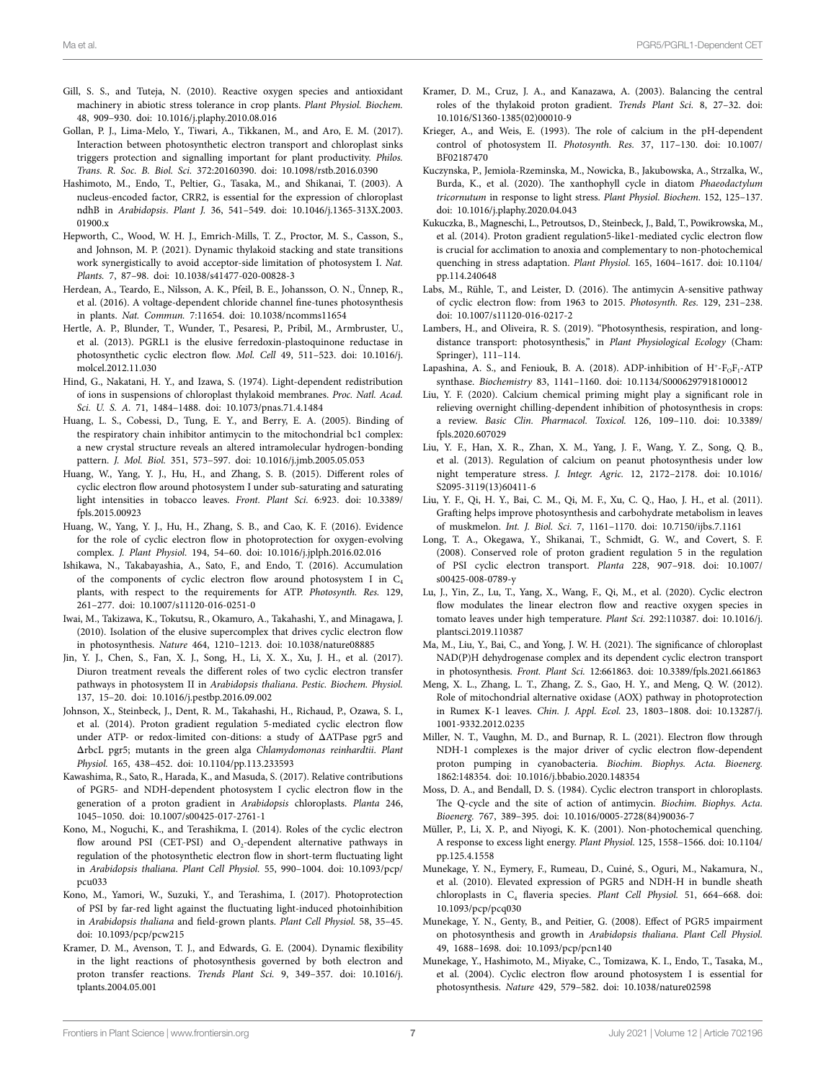- <span id="page-6-5"></span>Gill, S. S., and Tuteja, N. (2010). Reactive oxygen species and antioxidant machinery in abiotic stress tolerance in crop plants. *Plant Physiol. Biochem.* 48, 909–930. doi: [10.1016/j.plaphy.2010.08.016](https://doi.org/10.1016/j.plaphy.2010.08.016)
- <span id="page-6-36"></span>Gollan, P. J., Lima-Melo, Y., Tiwari, A., Tikkanen, M., and Aro, E. M. (2017). Interaction between photosynthetic electron transport and chloroplast sinks triggers protection and signalling important for plant productivity. *Philos. Trans. R. Soc. B. Biol. Sci.* 372:20160390. doi: [10.1098/rstb.2016.0390](https://doi.org/10.1098/rstb.2016.0390)
- <span id="page-6-27"></span>Hashimoto, M., Endo, T., Peltier, G., Tasaka, M., and Shikanai, T. (2003). A nucleus-encoded factor, CRR2, is essential for the expression of chloroplast ndhB in *Arabidopsis*. *Plant J.* 36, 541–549. doi: [10.1046/j.1365-313X.2003.](https://doi.org/10.1046/j.1365-313X.2003.01900.x) [01900.x](https://doi.org/10.1046/j.1365-313X.2003.01900.x)
- <span id="page-6-7"></span>Hepworth, C., Wood, W. H. J., Emrich-Mills, T. Z., Proctor, M. S., Casson, S., and Johnson, M. P. (2021). Dynamic thylakoid stacking and state transitions work synergistically to avoid acceptor-side limitation of photosystem I. *Nat. Plants.* 7, 87–98. doi: [10.1038/s41477-020-00828-3](https://doi.org/10.1038/s41477-020-00828-3)
- <span id="page-6-22"></span>Herdean, A., Teardo, E., Nilsson, A. K., Pfeil, B. E., Johansson, O. N., Ünnep, R., et al. (2016). A voltage-dependent chloride channel fine-tunes photosynthesis in plants. *Nat. Commun.* 7:11654. doi: [10.1038/ncomms11654](https://doi.org/10.1038/ncomms11654)
- <span id="page-6-16"></span>Hertle, A. P., Blunder, T., Wunder, T., Pesaresi, P., Pribil, M., Armbruster, U., et al. (2013). PGRL1 is the elusive ferredoxin-plastoquinone reductase in photosynthetic cyclic electron flow. *Mol. Cell* 49, 511–523. doi: [10.1016/j.](https://doi.org/10.1016/j.molcel.2012.11.030) [molcel.2012.11.030](https://doi.org/10.1016/j.molcel.2012.11.030)
- <span id="page-6-21"></span>Hind, G., Nakatani, H. Y., and Izawa, S. (1974). Light-dependent redistribution of ions in suspensions of chloroplast thylakoid membranes. *Proc. Natl. Acad. Sci. U. S. A.* 71, 1484–1488. doi: [10.1073/pnas.71.4.1484](https://doi.org/10.1073/pnas.71.4.1484)
- <span id="page-6-14"></span>Huang, L. S., Cobessi, D., Tung, E. Y., and Berry, E. A. (2005). Binding of the respiratory chain inhibitor antimycin to the mitochondrial bc1 complex: a new crystal structure reveals an altered intramolecular hydrogen-bonding pattern. *J. Mol. Biol.* 351, 573–597. doi: [10.1016/j.jmb.2005.05.053](https://doi.org/10.1016/j.jmb.2005.05.053)
- <span id="page-6-29"></span>Huang, W., Yang, Y. J., Hu, H., and Zhang, S. B. (2015). Different roles of cyclic electron flow around photosystem I under sub-saturating and saturating light intensities in tobacco leaves. *Front. Plant Sci.* 6:923. doi: [10.3389/](https://doi.org/10.3389/fpls.2015.00923) [fpls.2015.00923](https://doi.org/10.3389/fpls.2015.00923)
- <span id="page-6-33"></span>Huang, W., Yang, Y. J., Hu, H., Zhang, S. B., and Cao, K. F. (2016). Evidence for the role of cyclic electron flow in photoprotection for oxygen-evolving complex. *J. Plant Physiol.* 194, 54–60. doi: [10.1016/j.jplph.2016.02.016](https://doi.org/10.1016/j.jplph.2016.02.016)
- <span id="page-6-15"></span>Ishikawa, N., Takabayashia, A., Sato, F., and Endo, T. (2016). Accumulation of the components of cyclic electron flow around photosystem I in  $C_4$ plants, with respect to the requirements for ATP. *Photosynth. Res.* 129, 261–277. doi: [10.1007/s11120-016-0251-0](https://doi.org/10.1007/s11120-016-0251-0)
- <span id="page-6-19"></span>Iwai, M., Takizawa, K., Tokutsu, R., Okamuro, A., Takahashi, Y., and Minagawa, J. (2010). Isolation of the elusive supercomplex that drives cyclic electron flow in photosynthesis. *Nature* 464, 1210–1213. doi: [10.1038/nature08885](https://doi.org/10.1038/nature08885)
- <span id="page-6-30"></span>Jin, Y. J., Chen, S., Fan, X. J., Song, H., Li, X. X., Xu, J. H., et al. (2017). Diuron treatment reveals the different roles of two cyclic electron transfer pathways in photosystem II in *Arabidopsis thaliana*. *Pestic. Biochem. Physiol.* 137, 15–20. doi: [10.1016/j.pestbp.2016.09.002](https://doi.org/10.1016/j.pestbp.2016.09.002)
- <span id="page-6-25"></span>Johnson, X., Steinbeck, J., Dent, R. M., Takahashi, H., Richaud, P., Ozawa, S. I., et al. (2014). Proton gradient regulation 5-mediated cyclic electron flow under ATP- or redox-limited con-ditions: a study of ΔATPase pgr5 and ΔrbcL pgr5; mutants in the green alga *Chlamydomonas reinhardtii*. *Plant Physiol.* 165, 438–452. doi: [10.1104/pp.113.233593](https://doi.org/10.1104/pp.113.233593)
- <span id="page-6-23"></span>Kawashima, R., Sato, R., Harada, K., and Masuda, S. (2017). Relative contributions of PGR5- and NDH-dependent photosystem I cyclic electron flow in the generation of a proton gradient in *Arabidopsis* chloroplasts. *Planta* 246, 1045–1050. doi: [10.1007/s00425-017-2761-1](https://doi.org/10.1007/s00425-017-2761-1)
- <span id="page-6-17"></span>Kono, M., Noguchi, K., and Terashikma, I. (2014). Roles of the cyclic electron flow around PSI (CET-PSI) and  $O_2$ -dependent alternative pathways in regulation of the photosynthetic electron flow in short-term fluctuating light in *Arabidopsis thaliana*. *Plant Cell Physiol.* 55, 990–1004. doi: [10.1093/pcp/](https://doi.org/10.1093/pcp/pcu033) [pcu033](https://doi.org/10.1093/pcp/pcu033)
- <span id="page-6-35"></span>Kono, M., Yamori, W., Suzuki, Y., and Terashima, I. (2017). Photoprotection of PSI by far-red light against the fluctuating light-induced photoinhibition in *Arabidopsis thaliana* and field-grown plants. *Plant Cell Physiol.* 58, 35–45. doi: [10.1093/pcp/pcw215](https://doi.org/10.1093/pcp/pcw215)
- <span id="page-6-37"></span>Kramer, D. M., Avenson, T. J., and Edwards, G. E. (2004). Dynamic flexibility in the light reactions of photosynthesis governed by both electron and proton transfer reactions. *Trends Plant Sci.* 9, 349–357. doi: [10.1016/j.](https://doi.org/10.1016/j.tplants.2004.05.001) [tplants.2004.05.001](https://doi.org/10.1016/j.tplants.2004.05.001)
- <span id="page-6-20"></span>Kramer, D. M., Cruz, J. A., and Kanazawa, A. (2003). Balancing the central roles of the thylakoid proton gradient. *Trends Plant Sci.* 8, 27–32. doi: [10.1016/S1360-1385\(02\)00010-9](https://doi.org/10.1016/S1360-1385(02)00010-9)
- <span id="page-6-32"></span>Krieger, A., and Weis, E. (1993). The role of calcium in the pH-dependent control of photosystem II. *Photosynth. Res.* 37, 117–130. doi: [10.1007/](https://doi.org/10.1007/BF02187470) [BF02187470](https://doi.org/10.1007/BF02187470)
- <span id="page-6-6"></span>Kuczynska, P., Jemiola-Rzeminska, M., Nowicka, B., Jakubowska, A., Strzalka, W., Burda, K., et al. (2020). The xanthophyll cycle in diatom *Phaeodactylum tricornutum* in response to light stress. *Plant Physiol. Biochem.* 152, 125–137. doi: [10.1016/j.plaphy.2020.04.043](https://doi.org/10.1016/j.plaphy.2020.04.043)
- <span id="page-6-26"></span>Kukuczka, B., Magneschi, L., Petroutsos, D., Steinbeck, J., Bald, T., Powikrowska, M., et al. (2014). Proton gradient regulation5-like1-mediated cyclic electron flow is crucial for acclimation to anoxia and complementary to non-photochemical quenching in stress adaptation. *Plant Physiol.* 165, 1604–1617. doi: [10.1104/](https://doi.org/10.1104/pp.114.240648) [pp.114.240648](https://doi.org/10.1104/pp.114.240648)
- <span id="page-6-18"></span>Labs, M., Rühle, T., and Leister, D. (2016). The antimycin A-sensitive pathway of cyclic electron flow: from 1963 to 2015. *Photosynth. Res.* 129, 231–238. doi: [10.1007/s11120-016-0217-2](https://doi.org/10.1007/s11120-016-0217-2)
- <span id="page-6-1"></span>Lambers, H., and Oliveira, R. S. (2019). "Photosynthesis, respiration, and longdistance transport: photosynthesis," in *Plant Physiological Ecology* (Cham: Springer), 111–114.
- <span id="page-6-8"></span>Lapashina, A. S., and Feniouk, B. A. (2018). ADP-inhibition of  $H^*$ - $F_OF_1$ -ATP synthase. *Biochemistry* 83, 1141–1160. doi: [10.1134/S0006297918100012](https://doi.org/10.1134/S0006297918100012)
- <span id="page-6-2"></span>Liu, Y. F. (2020). Calcium chemical priming might play a significant role in relieving overnight chilling-dependent inhibition of photosynthesis in crops: a review. *Basic Clin. Pharmacol. Toxicol.* 126, 109–110. doi: [10.3389/](https://doi.org/10.3389/fpls.2020.607029) [fpls.2020.607029](https://doi.org/10.3389/fpls.2020.607029)
- <span id="page-6-4"></span>Liu, Y. F., Han, X. R., Zhan, X. M., Yang, J. F., Wang, Y. Z., Song, Q. B., et al. (2013). Regulation of calcium on peanut photosynthesis under low night temperature stress. *J. Integr. Agric.* 12, 2172–2178. doi: [10.1016/](https://doi.org/10.1016/S2095-3119(13)60411-6) [S2095-3119\(13\)60411-6](https://doi.org/10.1016/S2095-3119(13)60411-6)
- <span id="page-6-0"></span>Liu, Y. F., Qi, H. Y., Bai, C. M., Qi, M. F., Xu, C. Q., Hao, J. H., et al. (2011). Grafting helps improve photosynthesis and carbohydrate metabolism in leaves of muskmelon. *Int. J. Biol. Sci.* 7, 1161–1170. doi: [10.7150/ijbs.7.1161](https://doi.org/10.7150/ijbs.7.1161)
- <span id="page-6-34"></span>Long, T. A., Okegawa, Y., Shikanai, T., Schmidt, G. W., and Covert, S. F. (2008). Conserved role of proton gradient regulation 5 in the regulation of PSI cyclic electron transport. *Planta* 228, 907–918. doi: [10.1007/](https://doi.org/10.1007/s00425-008-0789-y) [s00425-008-0789-y](https://doi.org/10.1007/s00425-008-0789-y)
- <span id="page-6-3"></span>Lu, J., Yin, Z., Lu, T., Yang, X., Wang, F., Qi, M., et al. (2020). Cyclic electron flow modulates the linear electron flow and reactive oxygen species in tomato leaves under high temperature. *Plant Sci.* 292:110387. doi: [10.1016/j.](https://doi.org/10.1016/j.plantsci.2019.110387) [plantsci.2019.110387](https://doi.org/10.1016/j.plantsci.2019.110387)
- <span id="page-6-9"></span>Ma, M., Liu, Y., Bai, C., and Yong, J. W. H. (2021). The significance of chloroplast NAD(P)H dehydrogenase complex and its dependent cyclic electron transport in photosynthesis. *Front. Plant Sci.* 12:661863. doi: [10.3389/fpls.2021.661863](https://doi.org/10.3389/fpls.2021.661863)
- <span id="page-6-10"></span>Meng, X. L., Zhang, L. T., Zhang, Z. S., Gao, H. Y., and Meng, Q. W. (2012). Role of mitochondrial alternative oxidase (AOX) pathway in photoprotection in Rumex K-1 leaves. *Chin. J. Appl. Ecol.* 23, 1803–1808. doi: [10.13287/j.](https://doi.org/10.13287/j.1001-9332.2012.0235) [1001-9332.2012.0235](https://doi.org/10.13287/j.1001-9332.2012.0235)
- <span id="page-6-12"></span>Miller, N. T., Vaughn, M. D., and Burnap, R. L. (2021). Electron flow through NDH-1 complexes is the major driver of cyclic electron flow-dependent proton pumping in cyanobacteria. *Biochim. Biophys. Acta. Bioenerg.* 1862:148354. doi: [10.1016/j.bbabio.2020.148354](https://doi.org/10.1016/j.bbabio.2020.148354)
- <span id="page-6-11"></span>Moss, D. A., and Bendall, D. S. (1984). Cyclic electron transport in chloroplasts. The Q-cycle and the site of action of antimycin. *Biochim. Biophys. Acta. Bioenerg.* 767, 389–395. doi: [10.1016/0005-2728\(84\)90036-7](https://doi.org/10.1016/0005-2728(84)90036-7)
- <span id="page-6-24"></span>Müller, P., Li, X. P., and Niyogi, K. K. (2001). Non-photochemical quenching. A response to excess light energy. *Plant Physiol.* 125, 1558–1566. doi: [10.1104/](https://doi.org/10.1104/pp.125.4.1558) [pp.125.4.1558](https://doi.org/10.1104/pp.125.4.1558)
- <span id="page-6-13"></span>Munekage, Y. N., Eymery, F., Rumeau, D., Cuiné, S., Oguri, M., Nakamura, N., et al. (2010). Elevated expression of PGR5 and NDH-H in bundle sheath chloroplasts in C4 flaveria species. *Plant Cell Physiol.* 51, 664–668. doi: [10.1093/pcp/pcq030](https://doi.org/10.1093/pcp/pcq030)
- <span id="page-6-31"></span>Munekage, Y. N., Genty, B., and Peitier, G. (2008). Effect of PGR5 impairment on photosynthesis and growth in *Arabidopsis thaliana*. *Plant Cell Physiol.* 49, 1688–1698. doi: [10.1093/pcp/pcn140](https://doi.org/10.1093/pcp/pcn140)
- <span id="page-6-28"></span>Munekage, Y., Hashimoto, M., Miyake, C., Tomizawa, K. I., Endo, T., Tasaka, M., et al. (2004). Cyclic electron flow around photosystem I is essential for photosynthesis. *Nature* 429, 579–582. doi: [10.1038/nature02598](https://doi.org/10.1038/nature02598)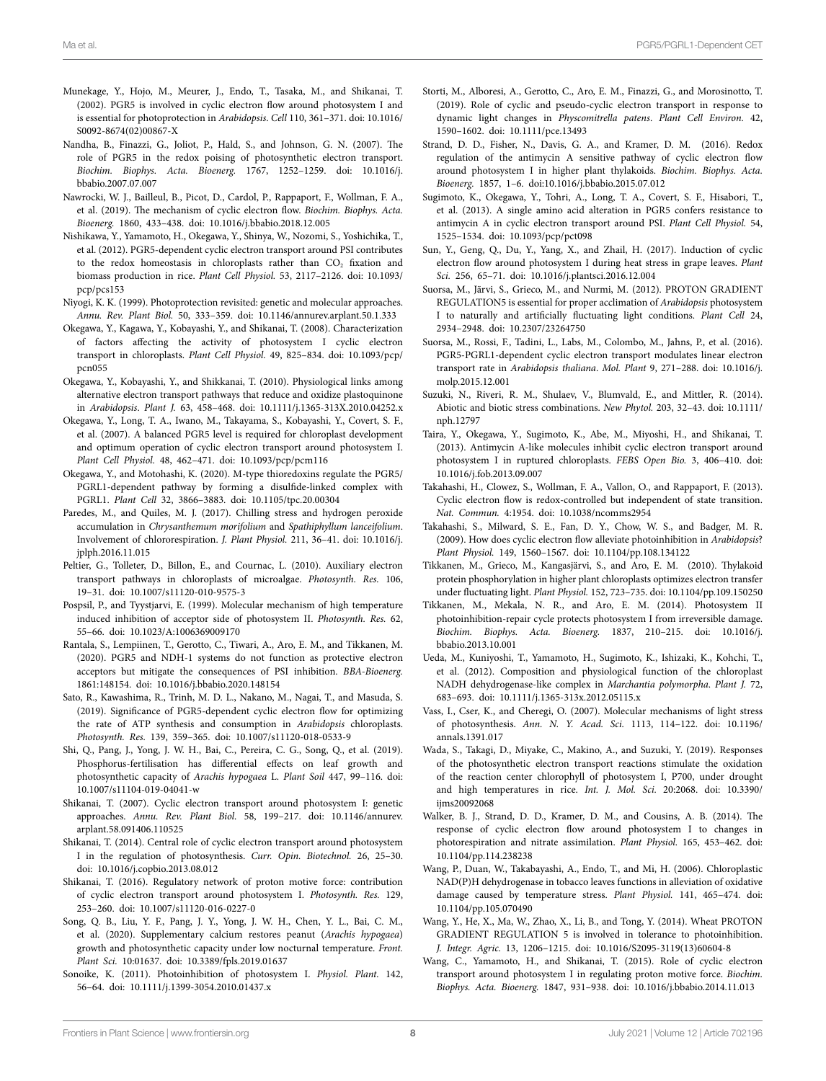- <span id="page-7-12"></span>Munekage, Y., Hojo, M., Meurer, J., Endo, T., Tasaka, M., and Shikanai, T. (2002). PGR5 is involved in cyclic electron flow around photosystem I and is essential for photoprotection in *Arabidopsis*. *Cell* 110, 361–371. doi: [10.1016/](https://doi.org/10.1016/S0092-8674(02)00867-X) [S0092-8674\(02\)00867-X](https://doi.org/10.1016/S0092-8674(02)00867-X)
- <span id="page-7-14"></span>Nandha, B., Finazzi, G., Joliot, P., Hald, S., and Johnson, G. N. (2007). The role of PGR5 in the redox poising of photosynthetic electron transport. *Biochim. Biophys. Acta. Bioenerg.* 1767, 1252–1259. doi: [10.1016/j.](https://doi.org/10.1016/j.bbabio.2007.07.007) [bbabio.2007.07.007](https://doi.org/10.1016/j.bbabio.2007.07.007)
- <span id="page-7-1"></span>Nawrocki, W. J., Bailleul, B., Picot, D., Cardol, P., Rappaport, F., Wollman, F. A., et al. (2019). The mechanism of cyclic electron flow. *Biochim. Biophys. Acta. Bioenerg.* 1860, 433–438. doi: [10.1016/j.bbabio.2018.12.005](https://doi.org/10.1016/j.bbabio.2018.12.005)
- <span id="page-7-18"></span>Nishikawa, Y., Yamamoto, H., Okegawa, Y., Shinya, W., Nozomi, S., Yoshichika, T., et al. (2012). PGR5-dependent cyclic electron transport around PSI contributes to the redox homeostasis in chloroplasts rather than  $CO<sub>2</sub>$  fixation and biomass production in rice. *Plant Cell Physiol.* 53, 2117–2126. doi: [10.1093/](https://doi.org/10.1093/pcp/pcs153) [pcp/pcs153](https://doi.org/10.1093/pcp/pcs153)
- <span id="page-7-23"></span>Niyogi, K. K. (1999). Photoprotection revisited: genetic and molecular approaches. *Annu. Rev. Plant Biol.* 50, 333–359. doi: [10.1146/annurev.arplant.50.1.333](https://doi.org/10.1146/annurev.arplant.50.1.333)
- <span id="page-7-26"></span>Okegawa, Y., Kagawa, Y., Kobayashi, Y., and Shikanai, T. (2008). Characterization of factors affecting the activity of photosystem I cyclic electron transport in chloroplasts. *Plant Cell Physiol.* 49, 825–834. doi: [10.1093/pcp/](https://doi.org/10.1093/pcp/pcn055) [pcn055](https://doi.org/10.1093/pcp/pcn055)
- <span id="page-7-30"></span>Okegawa, Y., Kobayashi, Y., and Shikkanai, T. (2010). Physiological links among alternative electron transport pathways that reduce and oxidize plastoquinone in *Arabidopsis*. *Plant J.* 63, 458–468. doi: [10.1111/j.1365-313X.2010.04252.x](https://doi.org/10.1111/j.1365-313X.2010.04252.x)
- <span id="page-7-32"></span>Okegawa, Y., Long, T. A., Iwano, M., Takayama, S., Kobayashi, Y., Covert, S. F., et al. (2007). A balanced PGR5 level is required for chloroplast development and optimum operation of cyclic electron transport around photosystem I. *Plant Cell Physiol.* 48, 462–471. doi: [10.1093/pcp/pcm116](https://doi.org/10.1093/pcp/pcm116)
- <span id="page-7-27"></span>Okegawa, Y., and Motohashi, K. (2020). M-type thioredoxins regulate the PGR5/ PGRL1-dependent pathway by forming a disulfide-linked complex with PGRL1. *Plant Cell* 32, 3866–3883. doi: [10.1105/tpc.20.00304](https://doi.org/10.1105/tpc.20.00304)
- <span id="page-7-25"></span>Paredes, M., and Quiles, M. J. (2017). Chilling stress and hydrogen peroxide accumulation in *Chrysanthemum morifolium* and *Spathiphyllum lanceifolium*. Involvement of chlororespiration. *J. Plant Physiol.* 211, 36–41. doi: [10.1016/j.](https://doi.org/10.1016/j.jplph.2016.11.015) [jplph.2016.11.015](https://doi.org/10.1016/j.jplph.2016.11.015)
- <span id="page-7-17"></span>Peltier, G., Tolleter, D., Billon, E., and Cournac, L. (2010). Auxiliary electron transport pathways in chloroplasts of microalgae. *Photosynth. Res.* 106, 19–31. doi: [10.1007/s11120-010-9575-3](https://doi.org/10.1007/s11120-010-9575-3)
- <span id="page-7-31"></span>Pospsil, P., and Tyystjarvi, E. (1999). Molecular mechanism of high temperature induced inhibition of acceptor side of photosystem II. *Photosynth. Res.* 62, 55–66. doi: [10.1023/A:1006369009170](https://doi.org/10.1023/A:1006369009170)
- <span id="page-7-36"></span>Rantala, S., Lempiinen, T., Gerotto, C., Tiwari, A., Aro, E. M., and Tikkanen, M. (2020). PGR5 and NDH-1 systems do not function as protective electron acceptors but mitigate the consequences of PSI inhibition. *BBA-Bioenerg.* 1861:148154. doi: [10.1016/j.bbabio.2020.148154](https://doi.org/10.1016/j.bbabio.2020.148154)
- <span id="page-7-8"></span>Sato, R., Kawashima, R., Trinh, M. D. L., Nakano, M., Nagai, T., and Masuda, S. (2019). Significance of PGR5-dependent cyclic electron flow for optimizing the rate of ATP synthesis and consumption in *Arabidopsis* chloroplasts. *Photosynth. Res.* 139, 359–365. doi: [10.1007/s11120-018-0533-9](https://doi.org/10.1007/s11120-018-0533-9)
- <span id="page-7-5"></span>Shi, Q., Pang, J., Yong, J. W. H., Bai, C., Pereira, C. G., Song, Q., et al. (2019). Phosphorus-fertilisation has differential effects on leaf growth and photosynthetic capacity of *Arachis hypogaea* L. *Plant Soil* 447, 99–116. doi: [10.1007/s11104-019-04041-w](https://doi.org/10.1007/s11104-019-04041-w)
- <span id="page-7-20"></span>Shikanai, T. (2007). Cyclic electron transport around photosystem I: genetic approaches. *Annu. Rev. Plant Biol.* 58, 199–217. doi: [10.1146/annurev.](https://doi.org/10.1146/annurev.arplant.58.091406.110525) [arplant.58.091406.110525](https://doi.org/10.1146/annurev.arplant.58.091406.110525)
- <span id="page-7-22"></span>Shikanai, T. (2014). Central role of cyclic electron transport around photosystem I in the regulation of photosynthesis. *Curr. Opin. Biotechnol.* 26, 25–30. doi: [10.1016/j.copbio.2013.08.012](https://doi.org/10.1016/j.copbio.2013.08.012)
- <span id="page-7-35"></span>Shikanai, T. (2016). Regulatory network of proton motive force: contribution of cyclic electron transport around photosystem I. *Photosynth. Res.* 129, 253–260. doi: [10.1007/s11120-016-0227-0](https://doi.org/10.1007/s11120-016-0227-0)
- <span id="page-7-4"></span>Song, Q. B., Liu, Y. F., Pang, J. Y., Yong, J. W. H., Chen, Y. L., Bai, C. M., et al. (2020). Supplementary calcium restores peanut (*Arachis hypogaea*) growth and photosynthetic capacity under low nocturnal temperature. *Front. Plant Sci.* 10:01637. doi: [10.3389/fpls.2019.01637](https://doi.org/10.3389/fpls.2019.01637)
- <span id="page-7-34"></span>Sonoike, K. (2011). Photoinhibition of photosystem I. *Physiol. Plant.* 142, 56–64. doi: [10.1111/j.1399-3054.2010.01437.x](https://doi.org/10.1111/j.1399-3054.2010.01437.x)
- <span id="page-7-7"></span>Storti, M., Alboresi, A., Gerotto, C., Aro, E. M., Finazzi, G., and Morosinotto, T. (2019). Role of cyclic and pseudo-cyclic electron transport in response to dynamic light changes in *Physcomitrella patens*. *Plant Cell Environ.* 42, 1590–1602. doi: [10.1111/pce.13493](https://doi.org/10.1111/pce.13493)
- <span id="page-7-19"></span>Strand, D. D., Fisher, N., Davis, G. A., and Kramer, D. M. (2016). Redox regulation of the antimycin A sensitive pathway of cyclic electron flow around photosystem I in higher plant thylakoids. *Biochim. Biophys. Acta. Bioenerg.* 1857, 1–6. doi[:10.1016/j.bbabio.2015.07.012](https://doi.org/10.1016/j.bbabio.2015.07.012)
- <span id="page-7-33"></span>Sugimoto, K., Okegawa, Y., Tohri, A., Long, T. A., Covert, S. F., Hisabori, T., et al. (2013). A single amino acid alteration in PGR5 confers resistance to antimycin A in cyclic electron transport around PSI. *Plant Cell Physiol.* 54, 1525–1534. doi: [10.1093/pcp/pct098](https://doi.org/10.1093/pcp/pct098)
- <span id="page-7-3"></span>Sun, Y., Geng, Q., Du, Y., Yang, X., and Zhail, H. (2017). Induction of cyclic electron flow around photosystem I during heat stress in grape leaves. *Plant Sci.* 256, 65–71. doi: [10.1016/j.plantsci.2016.12.004](https://doi.org/10.1016/j.plantsci.2016.12.004)
- <span id="page-7-15"></span>Suorsa, M., Järvi, S., Grieco, M., and Nurmi, M. (2012). PROTON GRADIENT REGULATION5 is essential for proper acclimation of *Arabidopsis* photosystem I to naturally and artificially fluctuating light conditions. *Plant Cell* 24, 2934–2948. doi: [10.2307/23264750](https://doi.org/10.2307/23264750)
- <span id="page-7-38"></span>Suorsa, M., Rossi, F., Tadini, L., Labs, M., Colombo, M., Jahns, P., et al. (2016). PGR5-PGRL1-dependent cyclic electron transport modulates linear electron transport rate in *Arabidopsis thaliana*. *Mol. Plant* 9, 271–288. doi: [10.1016/j.](https://doi.org/10.1016/j.molp.2015.12.001) [molp.2015.12.001](https://doi.org/10.1016/j.molp.2015.12.001)
- <span id="page-7-2"></span>Suzuki, N., Riveri, R. M., Shulaev, V., Blumvald, E., and Mittler, R. (2014). Abiotic and biotic stress combinations. *New Phytol.* 203, 32–43. doi: [10.1111/](https://doi.org/10.1111/nph.12797) [nph.12797](https://doi.org/10.1111/nph.12797)
- <span id="page-7-13"></span>Taira, Y., Okegawa, Y., Sugimoto, K., Abe, M., Miyoshi, H., and Shikanai, T. (2013). Antimycin A-like molecules inhibit cyclic electron transport around photosystem I in ruptured chloroplasts. *FEBS Open Bio.* 3, 406–410. doi: [10.1016/j.fob.2013.09.007](https://doi.org/10.1016/j.fob.2013.09.007)
- <span id="page-7-21"></span>Takahashi, H., Clowez, S., Wollman, F. A., Vallon, O., and Rappaport, F. (2013). Cyclic electron flow is redox-controlled but independent of state transition. *Nat. Commun.* 4:1954. doi: [10.1038/ncomms2954](https://doi.org/10.1038/ncomms2954)
- <span id="page-7-28"></span>Takahashi, S., Milward, S. E., Fan, D. Y., Chow, W. S., and Badger, M. R. (2009). How does cyclic electron flow alleviate photoinhibition in *Arabidopsis*? *Plant Physiol.* 149, 1560–1567. doi: [10.1104/pp.108.134122](https://doi.org/10.1104/pp.108.134122)
- <span id="page-7-37"></span>Tikkanen, M., Grieco, M., Kangasjärvi, S., and Aro, E. M. (2010). Thylakoid protein phosphorylation in higher plant chloroplasts optimizes electron transfer under fluctuating light. *Plant Physiol.* 152, 723–735. doi: [10.1104/pp.109.150250](https://doi.org/10.1104/pp.109.150250)
- <span id="page-7-29"></span>Tikkanen, M., Mekala, N. R., and Aro, E. M. (2014). Photosystem II photoinhibition-repair cycle protects photosystem I from irreversible damage. *Biochim. Biophys. Acta. Bioenerg.* 1837, 210–215. doi: [10.1016/j.](https://doi.org/10.1016/j.bbabio.2013.10.001) [bbabio.2013.10.001](https://doi.org/10.1016/j.bbabio.2013.10.001)
- <span id="page-7-10"></span>Ueda, M., Kuniyoshi, T., Yamamoto, H., Sugimoto, K., Ishizaki, K., Kohchi, T., et al. (2012). Composition and physiological function of the chloroplast NADH dehydrogenase-like complex in *Marchantia polymorpha*. *Plant J.* 72, 683–693. doi: [10.1111/j.1365-313x.2012.05115.x](https://doi.org/10.1111/j.1365-313x.2012.05115.x)
- <span id="page-7-0"></span>Vass, I., Cser, K., and Cheregi, O. (2007). Molecular mechanisms of light stress of photosynthesis. *Ann. N. Y. Acad. Sci.* 1113, 114–122. doi: [10.1196/](https://doi.org/10.1196/annals.1391.017) [annals.1391.017](https://doi.org/10.1196/annals.1391.017)
- <span id="page-7-6"></span>Wada, S., Takagi, D., Miyake, C., Makino, A., and Suzuki, Y. (2019). Responses of the photosynthetic electron transport reactions stimulate the oxidation of the reaction center chlorophyll of photosystem I, P700, under drought and high temperatures in rice. *Int. J. Mol. Sci.* 20:2068. doi: [10.3390/](https://doi.org/10.3390/ijms20092068) iims20092068
- <span id="page-7-24"></span>Walker, B. J., Strand, D. D., Kramer, D. M., and Cousins, A. B. (2014). The response of cyclic electron flow around photosystem I to changes in photorespiration and nitrate assimilation. *Plant Physiol.* 165, 453–462. doi: [10.1104/pp.114.238238](https://doi.org/10.1104/pp.114.238238)
- <span id="page-7-9"></span>Wang, P., Duan, W., Takabayashi, A., Endo, T., and Mi, H. (2006). Chloroplastic NAD(P)H dehydrogenase in tobacco leaves functions in alleviation of oxidative damage caused by temperature stress. *Plant Physiol.* 141, 465–474. doi: [10.1104/pp.105.070490](https://doi.org/10.1104/pp.105.070490)
- <span id="page-7-16"></span>Wang, Y., He, X., Ma, W., Zhao, X., Li, B., and Tong, Y. (2014). Wheat PROTON GRADIENT REGULATION 5 is involved in tolerance to photoinhibition. *J. Integr. Agric.* 13, 1206–1215. doi: [10.1016/S2095-3119\(13\)60604-8](https://doi.org/10.1016/S2095-3119(13)60604-8)
- <span id="page-7-11"></span>Wang, C., Yamamoto, H., and Shikanai, T. (2015). Role of cyclic electron transport around photosystem I in regulating proton motive force. *Biochim. Biophys. Acta. Bioenerg.* 1847, 931–938. doi: [10.1016/j.bbabio.2014.11.013](https://doi.org/10.1016/j.bbabio.2014.11.013)